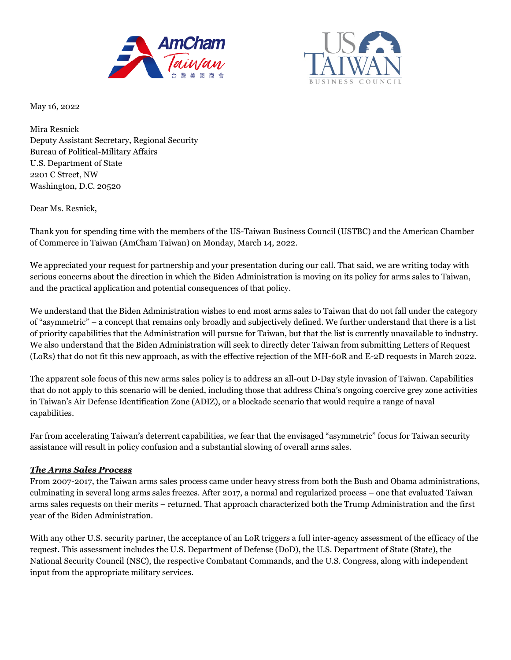



May 16, 2022

Mira Resnick Deputy Assistant Secretary, Regional Security Bureau of Political-Military Affairs U.S. Department of State 2201 C Street, NW Washington, D.C. 20520

Dear Ms. Resnick,

Thank you for spending time with the members of the US-Taiwan Business Council (USTBC) and the American Chamber of Commerce in Taiwan (AmCham Taiwan) on Monday, March 14, 2022.

We appreciated your request for partnership and your presentation during our call. That said, we are writing today with serious concerns about the direction in which the Biden Administration is moving on its policy for arms sales to Taiwan, and the practical application and potential consequences of that policy.

We understand that the Biden Administration wishes to end most arms sales to Taiwan that do not fall under the category of "asymmetric" – a concept that remains only broadly and subjectively defined. We further understand that there is a list of priority capabilities that the Administration will pursue for Taiwan, but that the list is currently unavailable to industry. We also understand that the Biden Administration will seek to directly deter Taiwan from submitting Letters of Request (LoRs) that do not fit this new approach, as with the effective rejection of the MH-60R and E-2D requests in March 2022.

The apparent sole focus of this new arms sales policy is to address an all-out D-Day style invasion of Taiwan. Capabilities that do not apply to this scenario will be denied, including those that address China's ongoing coercive grey zone activities in Taiwan's Air Defense Identification Zone (ADIZ), or a blockade scenario that would require a range of naval capabilities.

Far from accelerating Taiwan's deterrent capabilities, we fear that the envisaged "asymmetric" focus for Taiwan security assistance will result in policy confusion and a substantial slowing of overall arms sales.

## *The Arms Sales Process*

From 2007-2017, the Taiwan arms sales process came under heavy stress from both the Bush and Obama administrations, culminating in several long arms sales freezes. After 2017, a normal and regularized process – one that evaluated Taiwan arms sales requests on their merits – returned. That approach characterized both the Trump Administration and the first year of the Biden Administration.

With any other U.S. security partner, the acceptance of an LoR triggers a full inter-agency assessment of the efficacy of the request. This assessment includes the U.S. Department of Defense (DoD), the U.S. Department of State (State), the National Security Council (NSC), the respective Combatant Commands, and the U.S. Congress, along with independent input from the appropriate military services.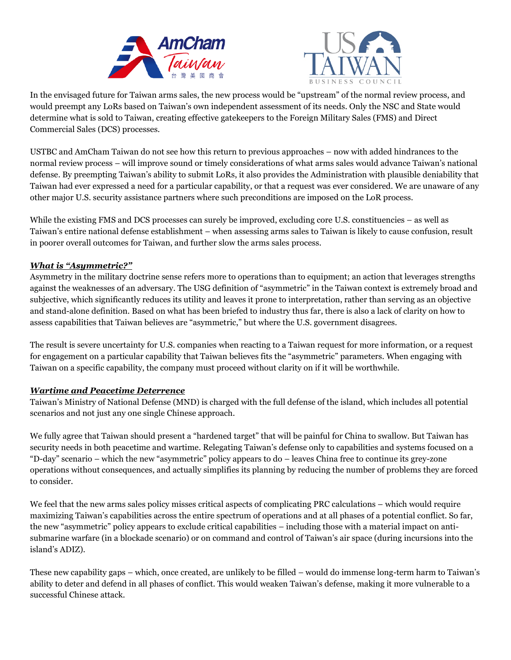



In the envisaged future for Taiwan arms sales, the new process would be "upstream" of the normal review process, and would preempt any LoRs based on Taiwan's own independent assessment of its needs. Only the NSC and State would determine what is sold to Taiwan, creating effective gatekeepers to the Foreign Military Sales (FMS) and Direct Commercial Sales (DCS) processes.

USTBC and AmCham Taiwan do not see how this return to previous approaches – now with added hindrances to the normal review process – will improve sound or timely considerations of what arms sales would advance Taiwan's national defense. By preempting Taiwan's ability to submit LoRs, it also provides the Administration with plausible deniability that Taiwan had ever expressed a need for a particular capability, or that a request was ever considered. We are unaware of any other major U.S. security assistance partners where such preconditions are imposed on the LoR process.

While the existing FMS and DCS processes can surely be improved, excluding core U.S. constituencies – as well as Taiwan's entire national defense establishment – when assessing arms sales to Taiwan is likely to cause confusion, result in poorer overall outcomes for Taiwan, and further slow the arms sales process.

## *What is "Asymmetric?"*

Asymmetry in the military doctrine sense refers more to operations than to equipment; an action that leverages strengths against the weaknesses of an adversary. The USG definition of "asymmetric" in the Taiwan context is extremely broad and subjective, which significantly reduces its utility and leaves it prone to interpretation, rather than serving as an objective and stand-alone definition. Based on what has been briefed to industry thus far, there is also a lack of clarity on how to assess capabilities that Taiwan believes are "asymmetric," but where the U.S. government disagrees.

The result is severe uncertainty for U.S. companies when reacting to a Taiwan request for more information, or a request for engagement on a particular capability that Taiwan believes fits the "asymmetric" parameters. When engaging with Taiwan on a specific capability, the company must proceed without clarity on if it will be worthwhile.

### *Wartime and Peacetime Deterrence*

Taiwan's Ministry of National Defense (MND) is charged with the full defense of the island, which includes all potential scenarios and not just any one single Chinese approach.

We fully agree that Taiwan should present a "hardened target" that will be painful for China to swallow. But Taiwan has security needs in both peacetime and wartime. Relegating Taiwan's defense only to capabilities and systems focused on a "D-day" scenario – which the new "asymmetric" policy appears to do – leaves China free to continue its grey-zone operations without consequences, and actually simplifies its planning by reducing the number of problems they are forced to consider.

We feel that the new arms sales policy misses critical aspects of complicating PRC calculations – which would require maximizing Taiwan's capabilities across the entire spectrum of operations and at all phases of a potential conflict. So far, the new "asymmetric" policy appears to exclude critical capabilities – including those with a material impact on antisubmarine warfare (in a blockade scenario) or on command and control of Taiwan's air space (during incursions into the island's ADIZ).

These new capability gaps – which, once created, are unlikely to be filled – would do immense long-term harm to Taiwan's ability to deter and defend in all phases of conflict. This would weaken Taiwan's defense, making it more vulnerable to a successful Chinese attack.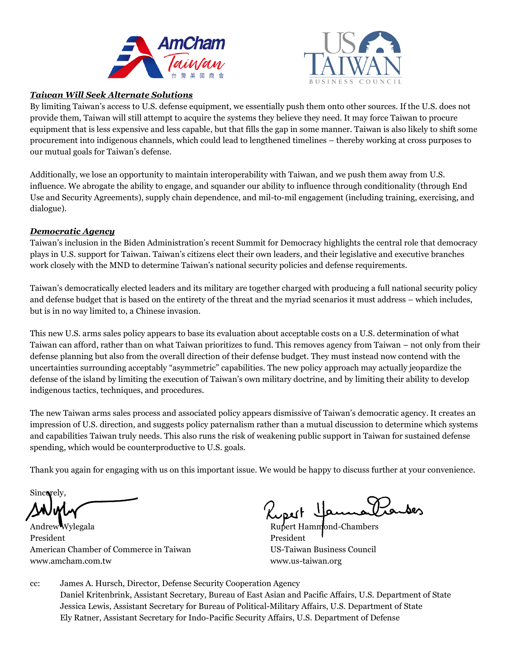



## *Taiwan Will Seek Alternate Solutions*

By limiting Taiwan's access to U.S. defense equipment, we essentially push them onto other sources. If the U.S. does not provide them, Taiwan will still attempt to acquire the systems they believe they need. It may force Taiwan to procure equipment that is less expensive and less capable, but that fills the gap in some manner. Taiwan is also likely to shift some procurement into indigenous channels, which could lead to lengthened timelines – thereby working at cross purposes to our mutual goals for Taiwan's defense.

Additionally, we lose an opportunity to maintain interoperability with Taiwan, and we push them away from U.S. influence. We abrogate the ability to engage, and squander our ability to influence through conditionality (through End Use and Security Agreements), supply chain dependence, and mil-to-mil engagement (including training, exercising, and dialogue).

# *Democratic Agency*

Taiwan's inclusion in the Biden Administration's recent Summit for Democracy highlights the central role that democracy plays in U.S. support for Taiwan. Taiwan's citizens elect their own leaders, and their legislative and executive branches work closely with the MND to determine Taiwan's national security policies and defense requirements.

Taiwan's democratically elected leaders and its military are together charged with producing a full national security policy and defense budget that is based on the entirety of the threat and the myriad scenarios it must address – which includes, but is in no way limited to, a Chinese invasion.

This new U.S. arms sales policy appears to base its evaluation about acceptable costs on a U.S. determination of what Taiwan can afford, rather than on what Taiwan prioritizes to fund. This removes agency from Taiwan – not only from their defense planning but also from the overall direction of their defense budget. They must instead now contend with the uncertainties surrounding acceptably "asymmetric" capabilities. The new policy approach may actually jeopardize the defense of the island by limiting the execution of Taiwan's own military doctrine, and by limiting their ability to develop indigenous tactics, techniques, and procedures.

The new Taiwan arms sales process and associated policy appears dismissive of Taiwan's democratic agency. It creates an impression of U.S. direction, and suggests policy paternalism rather than a mutual discussion to determine which systems and capabilities Taiwan truly needs. This also runs the risk of weakening public support in Taiwan for sustained defense spending, which would be counterproductive to U.S. goals.

Thank you again for engaging with us on this important issue. We would be happy to discuss further at your convenience.

Sincerely.

Andrew Wylegala **Rupert Hammond-Chambers** President President President President President President President President American Chamber of Commerce in Taiwan US-Taiwan Business Council www.amcham.com.tw www.us-taiwan.org

cc: James A. Hursch, Director, Defense Security Cooperation Agency Daniel Kritenbrink, Assistant Secretary, Bureau of East Asian and Pacific Affairs, U.S. Department of State Jessica Lewis, Assistant Secretary for Bureau of Political-Military Affairs, U.S. Department of State Ely Ratner, Assistant Secretary for Indo-Pacific Security Affairs, U.S. Department of Defense